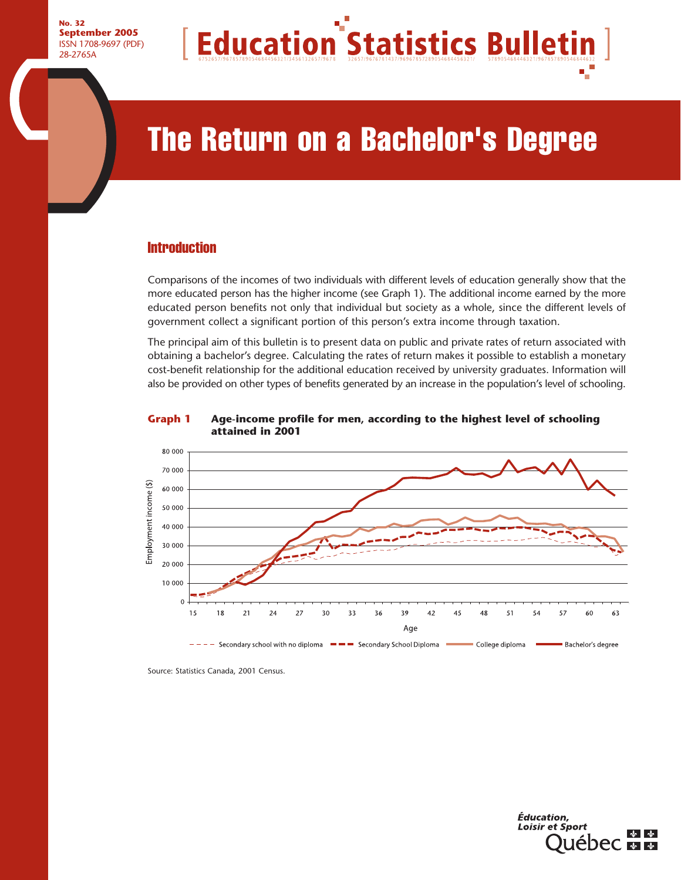

# The Return on a Bachelor's Degree

## **Introduction**

Comparisons of the incomes of two individuals with different levels of education generally show that the more educated person has the higher income (see Graph 1). The additional income earned by the more educated person benefits not only that individual but society as a whole, since the different levels of government collect a significant portion of this person's extra income through taxation.

The principal aim of this bulletin is to present data on public and private rates of return associated with obtaining a bachelor's degree. Calculating the rates of return makes it possible to establish a monetary cost-benefit relationship for the additional education received by university graduates. Information will also be provided on other types of benefits generated by an increase in the population's level of schooling.





Source: Statistics Canada, 2001 Census.

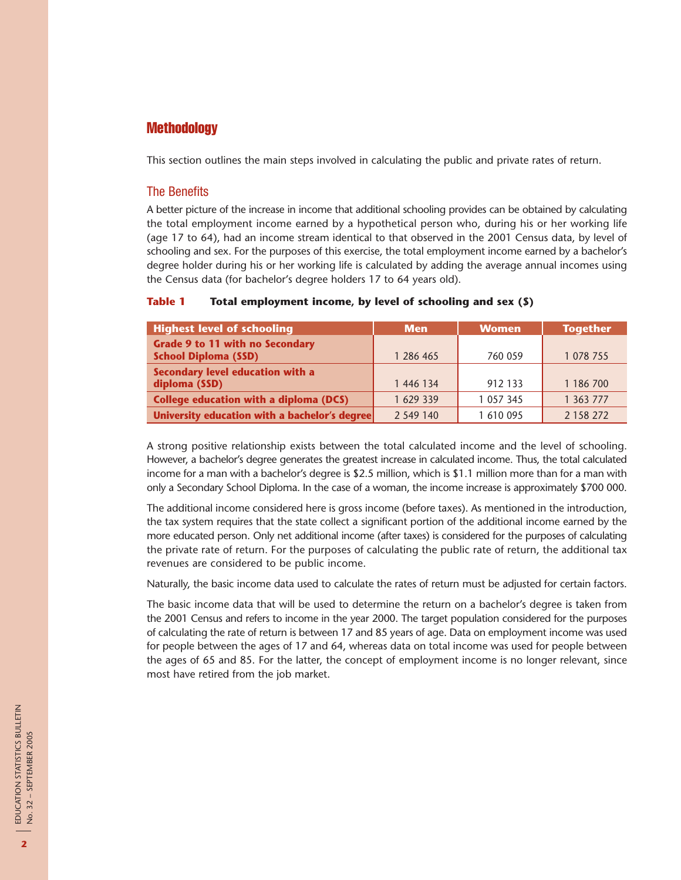## **Methodology**

This section outlines the main steps involved in calculating the public and private rates of return.

#### The Benefits

A better picture of the increase in income that additional schooling provides can be obtained by calculating the total employment income earned by a hypothetical person who, during his or her working life (age 17 to 64), had an income stream identical to that observed in the 2001 Census data, by level of schooling and sex. For the purposes of this exercise, the total employment income earned by a bachelor's degree holder during his or her working life is calculated by adding the average annual incomes using the Census data (for bachelor's degree holders 17 to 64 years old).

#### **Table 1 Total employment income, by level of schooling and sex (\$)**

| <b>Highest level of schooling</b>                                     | <b>Men</b> | <b>Women</b>  | <b>Together</b> |
|-----------------------------------------------------------------------|------------|---------------|-----------------|
| <b>Grade 9 to 11 with no Secondary</b><br><b>School Diploma (SSD)</b> | 1 286 465  | 760 059       | 1 078 755       |
| Secondary level education with a<br>diploma (SSD)                     | 1 446 134  | 912 133       | 1 186 700       |
| <b>College education with a diploma (DCS)</b>                         | 1 629 339  | 1 0 5 7 3 4 5 | 1 363 777       |
| University education with a bachelor's degree                         | 2 549 140  | 1 610 095     | 2 158 272       |

A strong positive relationship exists between the total calculated income and the level of schooling. However, a bachelor's degree generates the greatest increase in calculated income. Thus, the total calculated income for a man with a bachelor's degree is \$2.5 million, which is \$1.1 million more than for a man with only a Secondary School Diploma. In the case of a woman, the income increase is approximately \$700 000.

The additional income considered here is gross income (before taxes). As mentioned in the introduction, the tax system requires that the state collect a significant portion of the additional income earned by the more educated person. Only net additional income (after taxes) is considered for the purposes of calculating the private rate of return. For the purposes of calculating the public rate of return, the additional tax revenues are considered to be public income.

Naturally, the basic income data used to calculate the rates of return must be adjusted for certain factors.

The basic income data that will be used to determine the return on a bachelor's degree is taken from the 2001 Census and refers to income in the year 2000. The target population considered for the purposes of calculating the rate of return is between 17 and 85 years of age. Data on employment income was used for people between the ages of 17 and 64, whereas data on total income was used for people between the ages of 65 and 85. For the latter, the concept of employment income is no longer relevant, since most have retired from the job market.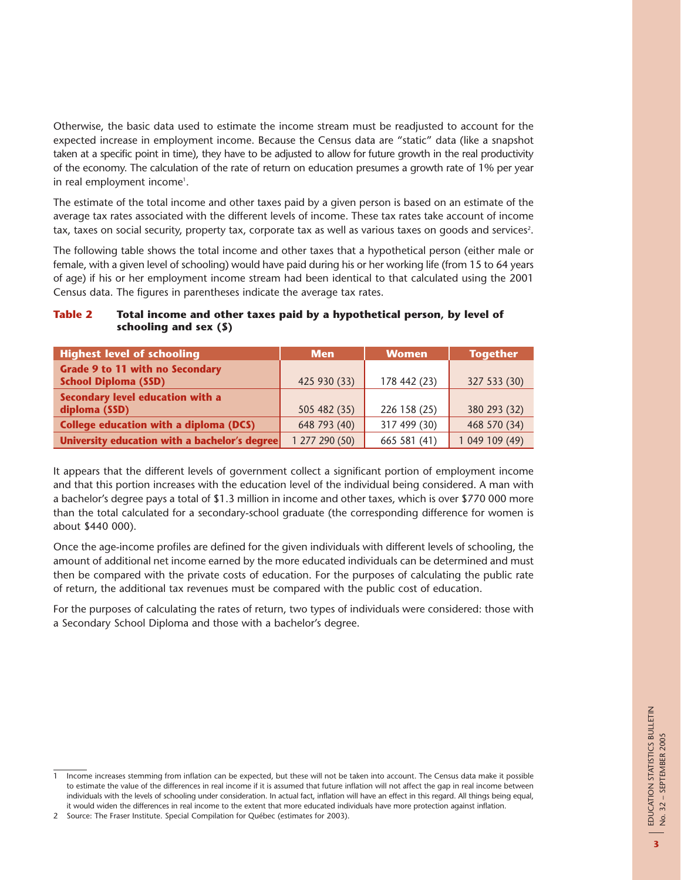Otherwise, the basic data used to estimate the income stream must be readjusted to account for the expected increase in employment income. Because the Census data are "static" data (like a snapshot taken at a specific point in time), they have to be adjusted to allow for future growth in the real productivity of the economy. The calculation of the rate of return on education presumes a growth rate of 1% per year in real employment income'.

The estimate of the total income and other taxes paid by a given person is based on an estimate of the average tax rates associated with the different levels of income. These tax rates take account of income tax, taxes on social security, property tax, corporate tax as well as various taxes on goods and services<sup>2</sup>.

The following table shows the total income and other taxes that a hypothetical person (either male or female, with a given level of schooling) would have paid during his or her working life (from 15 to 64 years of age) if his or her employment income stream had been identical to that calculated using the 2001 Census data. The figures in parentheses indicate the average tax rates.

| Table 2 | Total income and other taxes paid by a hypothetical person, by level of |
|---------|-------------------------------------------------------------------------|
|         | schooling and sex $(5)$                                                 |
|         |                                                                         |

| <b>Highest level of schooling</b>                                     | <b>Men</b>     | <b>Women</b> | <b>Together</b> |
|-----------------------------------------------------------------------|----------------|--------------|-----------------|
| <b>Grade 9 to 11 with no Secondary</b><br><b>School Diploma (SSD)</b> | 425 930 (33)   | 178 442 (23) | 327 533 (30)    |
| Secondary level education with a<br>diploma (SSD)                     | 505 482 (35)   | 226 158 (25) | 380 293 (32)    |
| College education with a diploma (DCS)                                | 648 793 (40)   | 317 499 (30) | 468 570 (34)    |
| University education with a bachelor's degree                         | 1 277 290 (50) | 665 581 (41) | 1 049 109 (49)  |

It appears that the different levels of government collect a significant portion of employment income and that this portion increases with the education level of the individual being considered. A man with a bachelor's degree pays a total of \$1.3 million in income and other taxes, which is over \$770 000 more than the total calculated for a secondary-school graduate (the corresponding difference for women is about \$440 000).

Once the age-income profiles are defined for the given individuals with different levels of schooling, the amount of additional net income earned by the more educated individuals can be determined and must then be compared with the private costs of education. For the purposes of calculating the public rate of return, the additional tax revenues must be compared with the public cost of education.

For the purposes of calculating the rates of return, two types of individuals were considered: those with a Secondary School Diploma and those with a bachelor's degree.

<sup>1</sup> Income increases stemming from inflation can be expected, but these will not be taken into account. The Census data make it possible to estimate the value of the differences in real income if it is assumed that future inflation will not affect the gap in real income between individuals with the levels of schooling under consideration. In actual fact, inflation will have an effect in this regard. All things being equal, it would widen the differences in real income to the extent that more educated individuals have more protection against inflation.

<sup>2</sup> Source: The Fraser Institute. Special Compilation for Québec (estimates for 2003).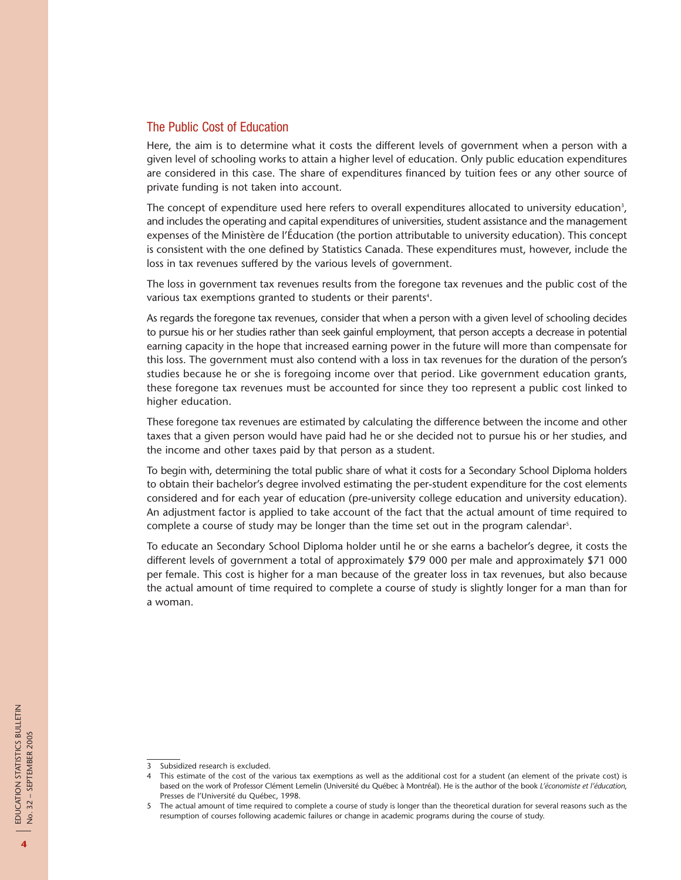#### The Public Cost of Education

Here, the aim is to determine what it costs the different levels of government when a person with a given level of schooling works to attain a higher level of education. Only public education expenditures are considered in this case. The share of expenditures financed by tuition fees or any other source of private funding is not taken into account.

The concept of expenditure used here refers to overall expenditures allocated to university education $^3\!$ , and includes the operating and capital expenditures of universities, student assistance and the management expenses of the Ministère de l'Éducation (the portion attributable to university education). This concept is consistent with the one defined by Statistics Canada. These expenditures must, however, include the loss in tax revenues suffered by the various levels of government.

The loss in government tax revenues results from the foregone tax revenues and the public cost of the various tax exemptions granted to students or their parents $^{\circ}\!.$ 

As regards the foregone tax revenues, consider that when a person with a given level of schooling decides to pursue his or her studies rather than seek gainful employment, that person accepts a decrease in potential earning capacity in the hope that increased earning power in the future will more than compensate for this loss. The government must also contend with a loss in tax revenues for the duration of the person's studies because he or she is foregoing income over that period. Like government education grants, these foregone tax revenues must be accounted for since they too represent a public cost linked to higher education.

These foregone tax revenues are estimated by calculating the difference between the income and other taxes that a given person would have paid had he or she decided not to pursue his or her studies, and the income and other taxes paid by that person as a student.

To begin with, determining the total public share of what it costs for a Secondary School Diploma holders to obtain their bachelor's degree involved estimating the per-student expenditure for the cost elements considered and for each year of education (pre-university college education and university education). An adjustment factor is applied to take account of the fact that the actual amount of time required to complete a course of study may be longer than the time set out in the program calendar<sup>5</sup>.

To educate an Secondary School Diploma holder until he or she earns a bachelor's degree, it costs the different levels of government a total of approximately \$79 000 per male and approximately \$71 000 per female. This cost is higher for a man because of the greater loss in tax revenues, but also because the actual amount of time required to complete a course of study is slightly longer for a man than for a woman.

<sup>3</sup> Subsidized research is excluded.

<sup>4</sup> This estimate of the cost of the various tax exemptions as well as the additional cost for a student (an element of the private cost) is based on the work of Professor Clément Lemelin (Université du Québec à Montréal). He is the author of the book *L'économiste et l'éducation*, Presses de l'Université du Québec, 1998.

<sup>5</sup> The actual amount of time required to complete a course of study is longer than the theoretical duration for several reasons such as the resumption of courses following academic failures or change in academic programs during the course of study.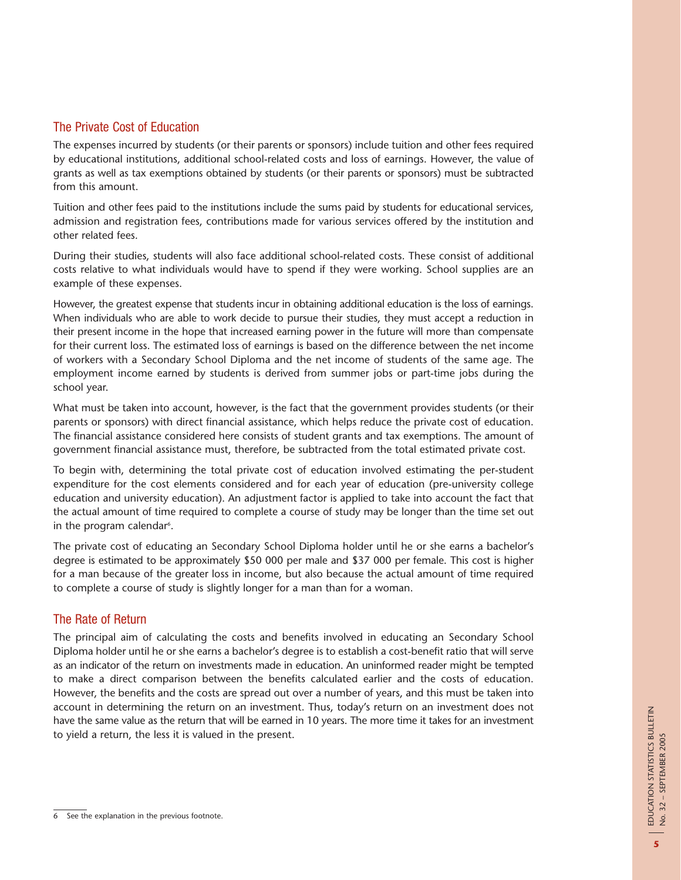## The Private Cost of Education

The expenses incurred by students (or their parents or sponsors) include tuition and other fees required by educational institutions, additional school-related costs and loss of earnings. However, the value of grants as well as tax exemptions obtained by students (or their parents or sponsors) must be subtracted from this amount.

Tuition and other fees paid to the institutions include the sums paid by students for educational services, admission and registration fees, contributions made for various services offered by the institution and other related fees.

During their studies, students will also face additional school-related costs. These consist of additional costs relative to what individuals would have to spend if they were working. School supplies are an example of these expenses.

However, the greatest expense that students incur in obtaining additional education is the loss of earnings. When individuals who are able to work decide to pursue their studies, they must accept a reduction in their present income in the hope that increased earning power in the future will more than compensate for their current loss. The estimated loss of earnings is based on the difference between the net income of workers with a Secondary School Diploma and the net income of students of the same age. The employment income earned by students is derived from summer jobs or part-time jobs during the school year.

What must be taken into account, however, is the fact that the government provides students (or their parents or sponsors) with direct financial assistance, which helps reduce the private cost of education. The financial assistance considered here consists of student grants and tax exemptions. The amount of government financial assistance must, therefore, be subtracted from the total estimated private cost.

To begin with, determining the total private cost of education involved estimating the per-student expenditure for the cost elements considered and for each year of education (pre-university college education and university education). An adjustment factor is applied to take into account the fact that the actual amount of time required to complete a course of study may be longer than the time set out in the program calendar<sup>6</sup>.

The private cost of educating an Secondary School Diploma holder until he or she earns a bachelor's degree is estimated to be approximately \$50 000 per male and \$37 000 per female. This cost is higher for a man because of the greater loss in income, but also because the actual amount of time required to complete a course of study is slightly longer for a man than for a woman.

## The Rate of Return

The principal aim of calculating the costs and benefits involved in educating an Secondary School Diploma holder until he or she earns a bachelor's degree is to establish a cost-benefit ratio that will serve as an indicator of the return on investments made in education. An uninformed reader might be tempted to make a direct comparison between the benefits calculated earlier and the costs of education. However, the benefits and the costs are spread out over a number of years, and this must be taken into account in determining the return on an investment. Thus, today's return on an investment does not have the same value as the return that will be earned in 10 years. The more time it takes for an investment to yield a return, the less it is valued in the present.

<sup>6</sup> See the explanation in the previous footnote.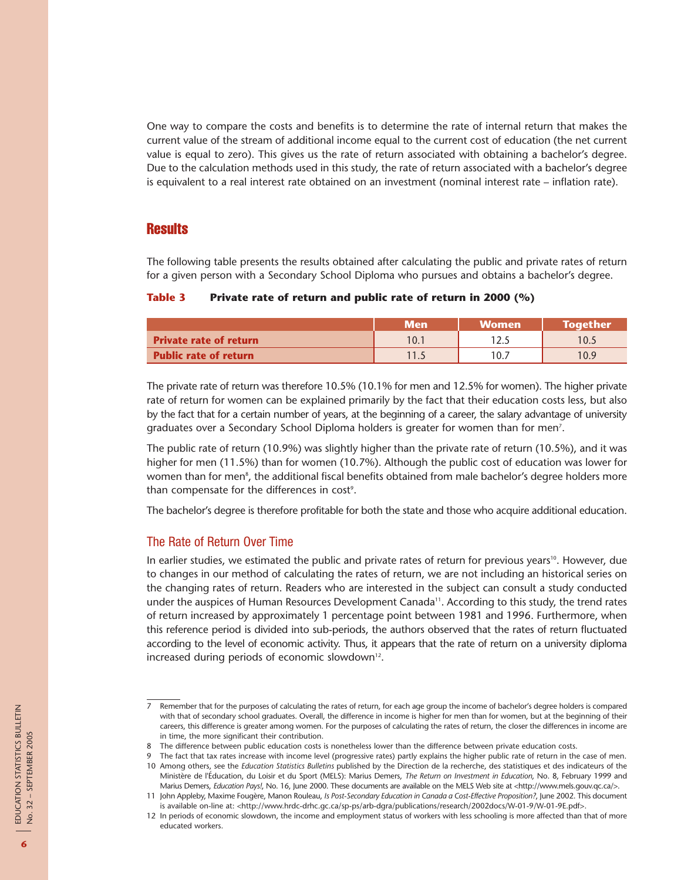One way to compare the costs and benefits is to determine the rate of internal return that makes the current value of the stream of additional income equal to the current cost of education (the net current value is equal to zero). This gives us the rate of return associated with obtaining a bachelor's degree. Due to the calculation methods used in this study, the rate of return associated with a bachelor's degree is equivalent to a real interest rate obtained on an investment (nominal interest rate – inflation rate).

#### **Results**

The following table presents the results obtained after calculating the public and private rates of return for a given person with a Secondary School Diploma who pursues and obtains a bachelor's degree.

#### **Table 3 Private rate of return and public rate of return in 2000 (%)**

|                               | <b>Men</b> | <b>Women</b> | <b>Together</b> |
|-------------------------------|------------|--------------|-----------------|
| <b>Private rate of return</b> | 10.1       |              | 10.5            |
| <b>Public rate of return</b>  | 11.5       | 10.7         | 10.9            |

The private rate of return was therefore 10.5% (10.1% for men and 12.5% for women). The higher private rate of return for women can be explained primarily by the fact that their education costs less, but also by the fact that for a certain number of years, at the beginning of a career, the salary advantage of university graduates over a Secondary School Diploma holders is greater for women than for men $^7\!$ .

The public rate of return (10.9%) was slightly higher than the private rate of return (10.5%), and it was higher for men (11.5%) than for women (10.7%). Although the public cost of education was lower for women than for men $^{\rm s}$ , the additional fiscal benefits obtained from male bachelor's degree holders more than compensate for the differences in cost<sup>9</sup>.

The bachelor's degree is therefore profitable for both the state and those who acquire additional education.

#### The Rate of Return Over Time

In earlier studies, we estimated the public and private rates of return for previous years<sup>10</sup>. However, due to changes in our method of calculating the rates of return, we are not including an historical series on the changing rates of return. Readers who are interested in the subject can consult a study conducted under the auspices of Human Resources Development Canada<sup>11</sup>. According to this study, the trend rates of return increased by approximately 1 percentage point between 1981 and 1996. Furthermore, when this reference period is divided into sub-periods, the authors observed that the rates of return fluctuated according to the level of economic activity. Thus, it appears that the rate of return on a university diploma increased during periods of economic slowdown<sup>12</sup>.

<sup>7</sup> Remember that for the purposes of calculating the rates of return, for each age group the income of bachelor's degree holders is compared with that of secondary school graduates. Overall, the difference in income is higher for men than for women, but at the beginning of their careers, this difference is greater among women. For the purposes of calculating the rates of return, the closer the differences in income are in time, the more significant their contribution.

<sup>8</sup> The difference between public education costs is nonetheless lower than the difference between private education costs.

<sup>9</sup> The fact that tax rates increase with income level (progressive rates) partly explains the higher public rate of return in the case of men. 10 Among others, see the *Education Statistics Bulletins* published by the Direction de la recherche, des statistiques et des indicateurs of the Ministère de l'Éducation, du Loisir et du Sport (MELS): Marius Demers, *The Return on Investment in Education*, No. 8, February 1999 and Marius Demers, *Education Pays!*, No. 16, June 2000. These documents are available on the MELS Web site at <http://www.mels.gouv.qc.ca/>.

<sup>11</sup> John Appleby, Maxime Fougère, Manon Rouleau, *Is Post-Secondary Education in Canada a Cost-Effective Proposition?*, June 2002. This document is available on-line at: <http://www.hrdc-drhc.gc.ca/sp-ps/arb-dgra/publications/research/2002docs/W-01-9/W-01-9E.pdf>.

<sup>12</sup> In periods of economic slowdown, the income and employment status of workers with less schooling is more affected than that of more educated workers.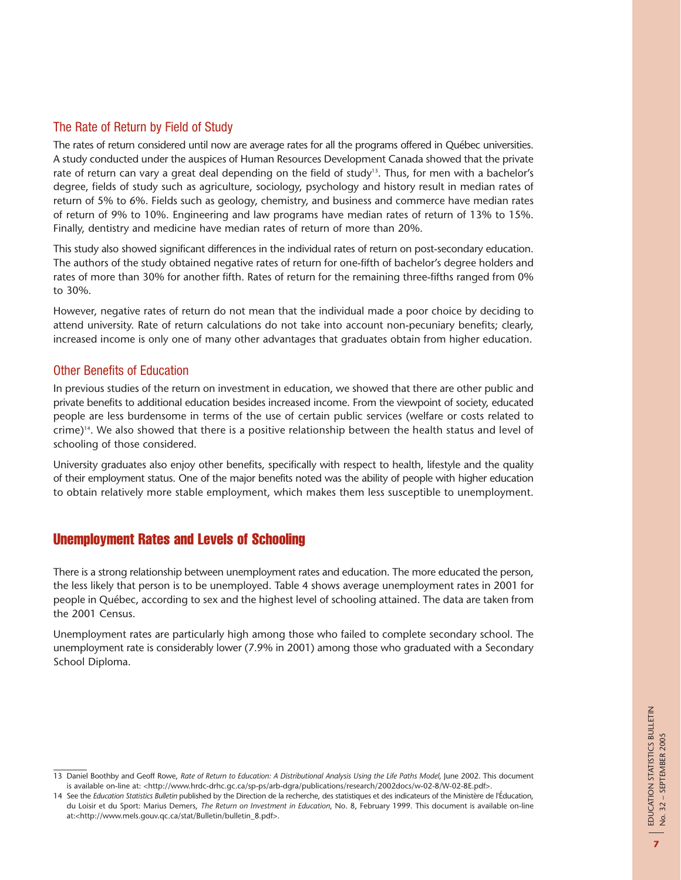## The Rate of Return by Field of Study

The rates of return considered until now are average rates for all the programs offered in Québec universities. A study conducted under the auspices of Human Resources Development Canada showed that the private rate of return can vary a great deal depending on the field of study<sup>13</sup>. Thus, for men with a bachelor's degree, fields of study such as agriculture, sociology, psychology and history result in median rates of return of 5% to 6%. Fields such as geology, chemistry, and business and commerce have median rates of return of 9% to 10%. Engineering and law programs have median rates of return of 13% to 15%. Finally, dentistry and medicine have median rates of return of more than 20%.

This study also showed significant differences in the individual rates of return on post-secondary education. The authors of the study obtained negative rates of return for one-fifth of bachelor's degree holders and rates of more than 30% for another fifth. Rates of return for the remaining three-fifths ranged from 0% to 30%.

However, negative rates of return do not mean that the individual made a poor choice by deciding to attend university. Rate of return calculations do not take into account non-pecuniary benefits; clearly, increased income is only one of many other advantages that graduates obtain from higher education.

### Other Benefits of Education

In previous studies of the return on investment in education, we showed that there are other public and private benefits to additional education besides increased income. From the viewpoint of society, educated people are less burdensome in terms of the use of certain public services (welfare or costs related to crime)14. We also showed that there is a positive relationship between the health status and level of schooling of those considered.

University graduates also enjoy other benefits, specifically with respect to health, lifestyle and the quality of their employment status. One of the major benefits noted was the ability of people with higher education to obtain relatively more stable employment, which makes them less susceptible to unemployment.

## Unemployment Rates and Levels of Schooling

There is a strong relationship between unemployment rates and education. The more educated the person, the less likely that person is to be unemployed. Table 4 shows average unemployment rates in 2001 for people in Québec, according to sex and the highest level of schooling attained. The data are taken from the 2001 Census.

Unemployment rates are particularly high among those who failed to complete secondary school. The unemployment rate is considerably lower (7.9% in 2001) among those who graduated with a Secondary School Diploma.

<sup>13</sup> Daniel Boothby and Geoff Rowe, *Rate of Return to Education: A Distributional Analysis Using the Life Paths Model*, June 2002. This document is available on-line at: <http://www.hrdc-drhc.gc.ca/sp-ps/arb-dgra/publications/research/2002docs/w-02-8/W-02-8E.pdf>.

<sup>14</sup> See the *Education Statistics Bulletin* published by the Direction de la recherche, des statistiques et des indicateurs of the Ministère de l'Éducation, du Loisir et du Sport: Marius Demers, *The Return on Investment in Education*, No. 8, February 1999. This document is available on-line at:<http://www.mels.gouv.qc.ca/stat/Bulletin/bulletin\_8.pdf>.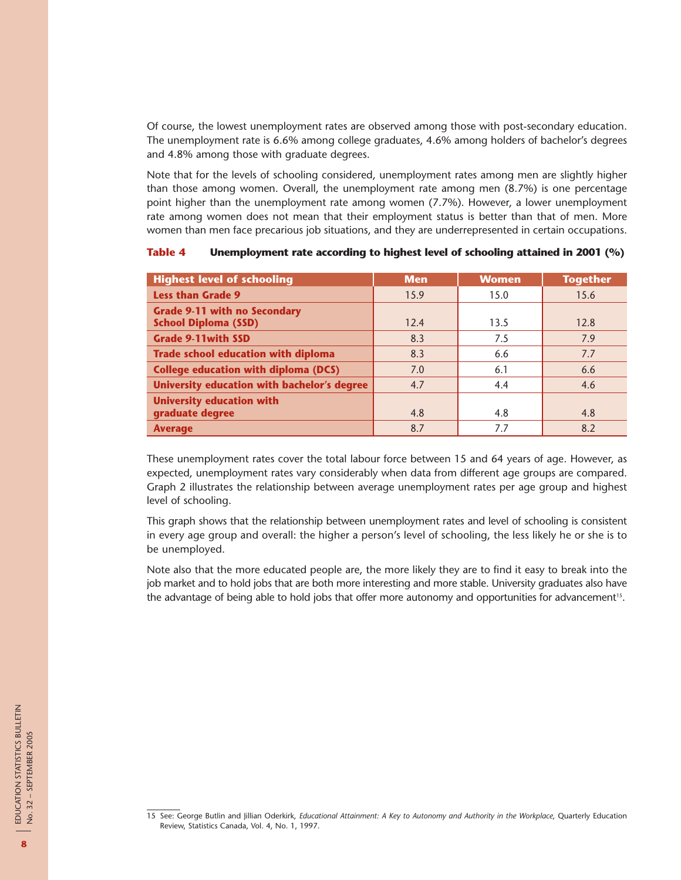Of course, the lowest unemployment rates are observed among those with post-secondary education. The unemployment rate is 6.6% among college graduates, 4.6% among holders of bachelor's degrees and 4.8% among those with graduate degrees.

Note that for the levels of schooling considered, unemployment rates among men are slightly higher than those among women. Overall, the unemployment rate among men (8.7%) is one percentage point higher than the unemployment rate among women (7.7%). However, a lower unemployment rate among women does not mean that their employment status is better than that of men. More women than men face precarious job situations, and they are underrepresented in certain occupations.

| <b>Highest level of schooling</b>                                  | <b>Men</b> | <b>Women</b> | <b>Together</b> |
|--------------------------------------------------------------------|------------|--------------|-----------------|
| <b>Less than Grade 9</b>                                           | 15.9       | 15.0         | 15.6            |
| <b>Grade 9-11 with no Secondary</b><br><b>School Diploma (SSD)</b> | 12.4       | 13.5         | 12.8            |
| <b>Grade 9-11with SSD</b>                                          | 8.3        | 7.5          | 7.9             |
| <b>Trade school education with diploma</b>                         | 8.3        | 6.6          | 7.7             |
| <b>College education with diploma (DCS)</b>                        | 7.0        | 6.1          | 6.6             |
| University education with bachelor's degree                        | 4.7        | 4.4          | 4.6             |
| <b>University education with</b><br>graduate degree                | 4.8        | 4.8          | 4.8             |
| <b>Average</b>                                                     | 8.7        | 7.7          | 8.2             |

**Table 4 Unemployment rate according to highest level of schooling attained in 2001 (%)**

These unemployment rates cover the total labour force between 15 and 64 years of age. However, as expected, unemployment rates vary considerably when data from different age groups are compared. Graph 2 illustrates the relationship between average unemployment rates per age group and highest level of schooling.

This graph shows that the relationship between unemployment rates and level of schooling is consistent in every age group and overall: the higher a person's level of schooling, the less likely he or she is to be unemployed.

Note also that the more educated people are, the more likely they are to find it easy to break into the job market and to hold jobs that are both more interesting and more stable. University graduates also have the advantage of being able to hold jobs that offer more autonomy and opportunities for advancement<sup>15</sup>.

<sup>15</sup> See: George Butlin and Jillian Oderkirk, *Educational Attainment: A Key to Autonomy and Authority in the Workplace*, Quarterly Education Review, Statistics Canada, Vol. 4, No. 1, 1997.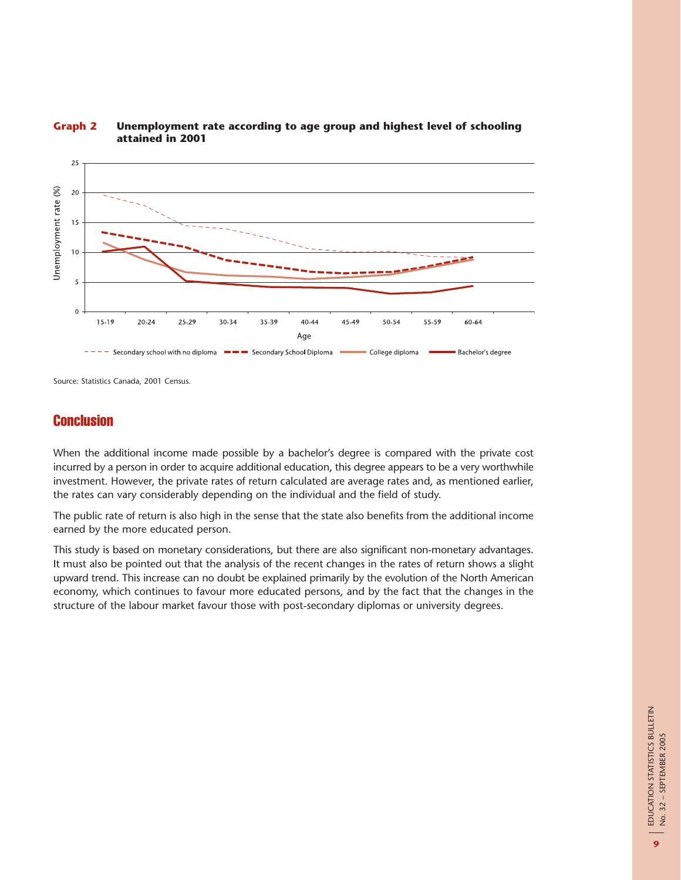

#### **Graph 2 Unemployment rate according to age group and highest level of schooling attained in 2001**

Source: Statistics Canada, 2001 Census.

## **Conclusion**

When the additional income made possible by a bachelor's degree is compared with the private cost incurred by a person in order to acquire additional education, this degree appears to be a very worthwhile investment. However, the private rates of return calculated are average rates and, as mentioned earlier, the rates can vary considerably depending on the individual and the field of study.

The public rate of return is also high in the sense that the state also benefits from the additional income earned by the more educated person.

This study is based on monetary considerations, but there are also significant non-monetary advantages. It must also be pointed out that the analysis of the recent changes in the rates of return shows a slight upward trend. This increase can no doubt be explained primarily by the evolution of the North American economy, which continues to favour more educated persons, and by the fact that the changes in the structure of the labour market favour those with post-secondary diplomas or university degrees.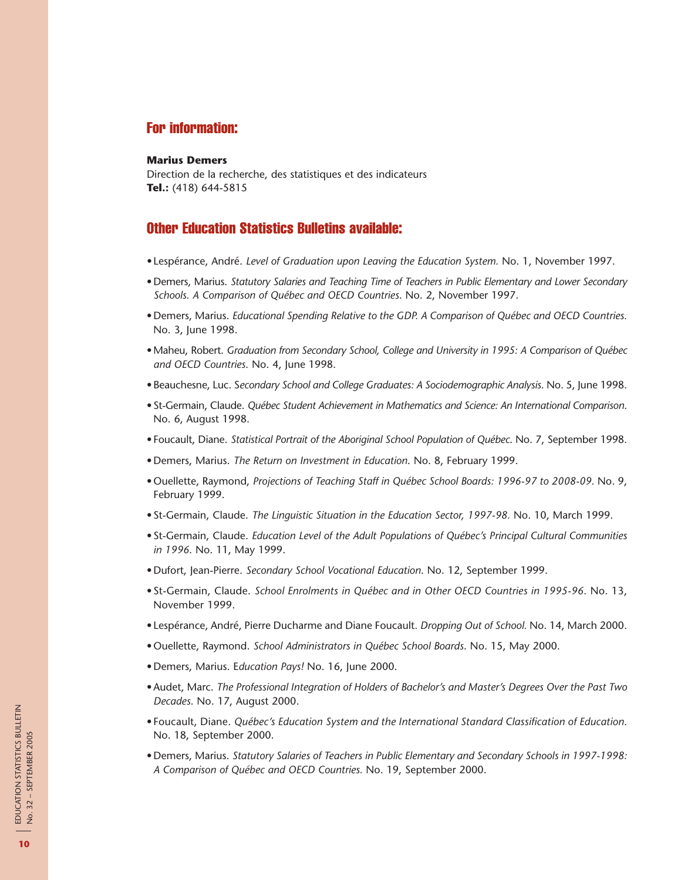## For information:

#### **Marius Demers**

Direction de la recherche, des statistiques et des indicateurs **Tel.:** (418) 644-5815

### Other Education Statistics Bulletins available:

- •Lespérance, André. *Level of Graduation upon Leaving the Education System.* No. 1, November 1997.
- •Demers, Marius. *Statutory Salaries and Teaching Time of Teachers in Public Elementary and Lower Secondary Schools. A Comparison of Québec and OECD Countries*. No. 2, November 1997.
- •Demers, Marius. *Educational Spending Relative to the GDP. A Comparison of Québec and OECD Countries.* No. 3, June 1998.
- •Maheu, Robert. *Graduation from Secondary School, College and University in 1995: A Comparison of Québec and OECD Countries*. No. 4, June 1998.
- •Beauchesne, Luc. S*econdary School and College Graduates: A Sociodemographic Analysis*. No. 5, June 1998.
- •St-Germain, Claude. *Québec Student Achievement in Mathematics and Science: An International Comparison*. No. 6, August 1998.
- •Foucault, Diane. *Statistical Portrait of the Aboriginal School Population of Québec*. No. 7, September 1998.
- •Demers, Marius. *The Return on Investment in Education*. No. 8, February 1999.
- •Ouellette, Raymond, *Projections of Teaching Staff in Québec School Boards: 1996-97 to 2008-09.* No. 9, February 1999.
- •St-Germain, Claude. *The Linguistic Situation in the Education Sector, 1997-98.* No. 10, March 1999.
- •St-Germain, Claude. *Education Level of the Adult Populations of Québec's Principal Cultural Communities in 1996*. No. 11, May 1999.
- •Dufort, Jean-Pierre. *Secondary School Vocational Education*. No. 12, September 1999.
- •St-Germain, Claude. *School Enrolments in Québec and in Other OECD Countries in 1995-96*. No. 13, November 1999.
- •Lespérance, André, Pierre Ducharme and Diane Foucault. *Dropping Out of School.* No. 14, March 2000.
- •Ouellette, Raymond. *School Administrators in Québec School Boards*. No. 15, May 2000.
- •Demers, Marius. E*ducation Pays!* No. 16, June 2000.
- •Audet, Marc. *The Professional Integration of Holders of Bachelor's and Master's Degrees Over the Past Two Decades*. No. 17, August 2000.
- •Foucault, Diane. *Québec's Education System and the International Standard Classification of Education*. No. 18, September 2000.
- •Demers, Marius. *Statutory Salaries of Teachers in Public Elementary and Secondary Schools in 1997-1998: A Comparison of Québec and OECD Countries.* No. 19, September 2000.